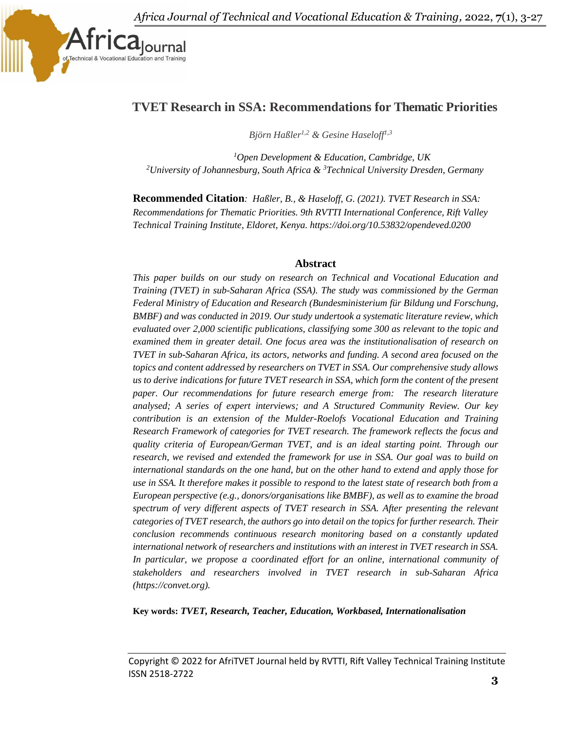

# **TVET Research in SSA: Recommendations for Thematic Priorities**

 *Björn Haßler1,2 & Gesine Haseloff1,3*

*<sup>1</sup>Open Development & Education, Cambridge, UK <sup>2</sup>University of Johannesburg, South Africa & <sup>3</sup>Technical University Dresden, Germany*

**Recommended Citation***: Haßler, B., & Haseloff, G. (2021). TVET Research in SSA: Recommendations for Thematic Priorities. 9th RVTTI International Conference, Rift Valley Technical Training Institute, Eldoret, Kenya. https://doi.org/10.53832/opendeved.0200*

#### **Abstract**

*This paper builds on our study on research on Technical and Vocational Education and Training (TVET) in sub-Saharan Africa (SSA). The study was commissioned by the German Federal Ministry of Education and Research (Bundesministerium für Bildung und Forschung, BMBF) and was conducted in 2019. Our study undertook a systematic literature review, which evaluated over 2,000 scientific publications, classifying some 300 as relevant to the topic and examined them in greater detail. One focus area was the institutionalisation of research on TVET in sub-Saharan Africa, its actors, networks and funding. A second area focused on the topics and content addressed by researchers on TVET in SSA. Our comprehensive study allows us to derive indications for future TVET research in SSA, which form the content of the present paper. Our recommendations for future research emerge from: The research literature analysed; A series of expert interviews; and A Structured Community Review. Our key contribution is an extension of the Mulder-Roelofs Vocational Education and Training Research Framework of categories for TVET research. The framework reflects the focus and quality criteria of European/German TVET, and is an ideal starting point. Through our research, we revised and extended the framework for use in SSA. Our goal was to build on international standards on the one hand, but on the other hand to extend and apply those for use in SSA. It therefore makes it possible to respond to the latest state of research both from a European perspective (e.g., donors/organisations like BMBF), as well as to examine the broad spectrum of very different aspects of TVET research in SSA. After presenting the relevant categories of TVET research, the authors go into detail on the topics for further research. Their conclusion recommends continuous research monitoring based on a constantly updated international network of researchers and institutions with an interest in TVET research in SSA. In particular, we propose a coordinated effort for an online, international community of stakeholders and researchers involved in TVET research in sub-Saharan Africa (https://convet.org).*

**Key words:** *TVET, Research, Teacher, Education, Workbased, Internationalisation*

Copyright © 2022 for AfriTVET Journal held by RVTTI, Rift Valley Technical Training Institute ISSN 2518-2722 **3**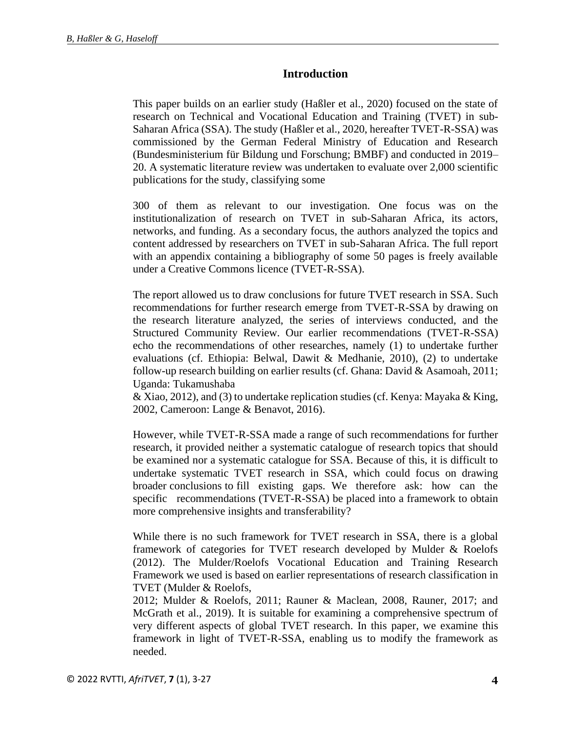## **Introduction**

This paper builds on an earlier study (Haßler et al., 2020) focused on the state of research on Technical and Vocational Education and Training (TVET) in sub-Saharan Africa (SSA). The study (Haßler et al., 2020, hereafter TVET-R-SSA) was commissioned by the German Federal Ministry of Education and Research (Bundesministerium für Bildung und Forschung; BMBF) and conducted in 2019– 20. A systematic literature review was undertaken to evaluate over 2,000 scientific publications for the study, classifying some

300 of them as relevant to our investigation. One focus was on the institutionalization of research on TVET in sub-Saharan Africa, its actors, networks, and funding. As a secondary focus, the authors analyzed the topics and content addressed by researchers on TVET in sub-Saharan Africa. The full report with an appendix containing a bibliography of some 50 pages is freely available under a Creative Commons licence (TVET-R-SSA).

The report allowed us to draw conclusions for future TVET research in SSA. Such recommendations for further research emerge from TVET-R-SSA by drawing on the research literature analyzed, the series of interviews conducted, and the Structured Community Review. Our earlier recommendations (TVET-R-SSA) echo the recommendations of other researches, namely (1) to undertake further evaluations (cf. Ethiopia: Belwal, Dawit & Medhanie, 2010), (2) to undertake follow-up research building on earlier results (cf. Ghana: David & Asamoah, 2011; Uganda: Tukamushaba

& Xiao, 2012), and (3) to undertake replication studies (cf. Kenya: Mayaka & King, 2002, Cameroon: Lange & Benavot, 2016).

However, while TVET-R-SSA made a range of such recommendations for further research, it provided neither a systematic catalogue of research topics that should be examined nor a systematic catalogue for SSA. Because of this, it is difficult to undertake systematic TVET research in SSA, which could focus on drawing broader conclusions to fill existing gaps. We therefore ask: how can the specific recommendations (TVET-R-SSA) be placed into a framework to obtain more comprehensive insights and transferability?

While there is no such framework for TVET research in SSA, there is a global framework of categories for TVET research developed by Mulder & Roelofs (2012). The Mulder/Roelofs Vocational Education and Training Research Framework we used is based on earlier representations of research classification in TVET (Mulder & Roelofs,

2012; Mulder & Roelofs, 2011; Rauner & Maclean, 2008, Rauner, 2017; and McGrath et al., 2019). It is suitable for examining a comprehensive spectrum of very different aspects of global TVET research. In this paper, we examine this framework in light of TVET-R-SSA, enabling us to modify the framework as needed.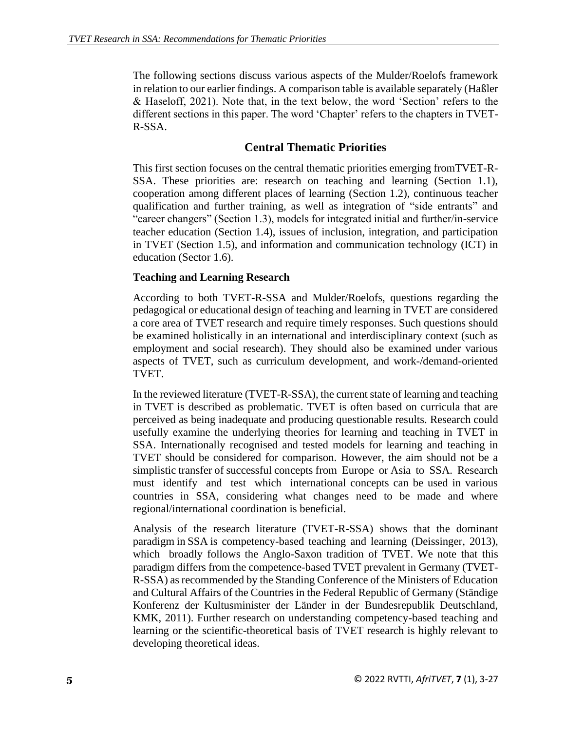The following sections discuss various aspects of the Mulder/Roelofs framework in relation to our earlier findings. A comparison table is available separately (Haßler & Haseloff, 2021). Note that, in the text below, the word 'Section' refers to the different sections in this paper. The word 'Chapter' refers to the chapters in TVET-R-SSA.

## **Central Thematic Priorities**

This first section focuses on the central thematic priorities emerging fromTVET-R-SSA. These priorities are: research on teaching and learning (Section 1.1), cooperation among different places of learning (Section 1.2), continuous teacher qualification and further training, as well as integration of "side entrants" and "career changers" (Section 1.3), models for integrated initial and further/in-service teacher education (Section 1.4), issues of inclusion, integration, and participation in TVET (Section 1.5), and information and communication technology (ICT) in education (Sector 1.6).

### **Teaching and Learning Research**

According to both TVET-R-SSA and Mulder/Roelofs, questions regarding the pedagogical or educational design of teaching and learning in TVET are considered a core area of TVET research and require timely responses. Such questions should be examined holistically in an international and interdisciplinary context (such as employment and social research). They should also be examined under various aspects of TVET, such as curriculum development, and work-/demand-oriented TVET.

In the reviewed literature (TVET-R-SSA), the current state of learning and teaching in TVET is described as problematic. TVET is often based on curricula that are perceived as being inadequate and producing questionable results. Research could usefully examine the underlying theories for learning and teaching in TVET in SSA. Internationally recognised and tested models for learning and teaching in TVET should be considered for comparison. However, the aim should not be a simplistic transfer of successful concepts from Europe or Asia to SSA. Research must identify and test which international concepts can be used in various countries in SSA, considering what changes need to be made and where regional/international coordination is beneficial.

Analysis of the research literature (TVET-R-SSA) shows that the dominant paradigm in SSA is competency-based teaching and learning (Deissinger, 2013), which broadly follows the Anglo-Saxon tradition of TVET. We note that this paradigm differs from the competence-based TVET prevalent in Germany (TVET-R-SSA) as recommended by the Standing Conference of the Ministers of Education and Cultural Affairs of the Countries in the Federal Republic of Germany (Ständige Konferenz der Kultusminister der Länder in der Bundesrepublik Deutschland, KMK, 2011). Further research on understanding competency-based teaching and learning or the scientific-theoretical basis of TVET research is highly relevant to developing theoretical ideas.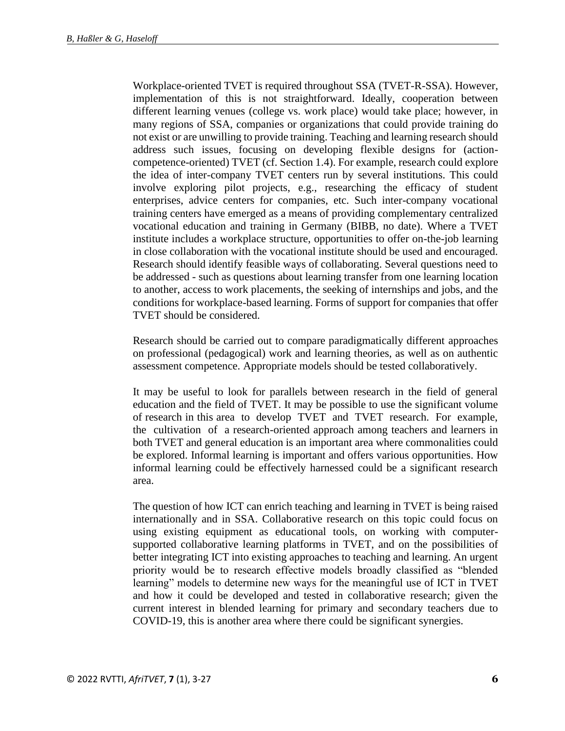Workplace-oriented TVET is required throughout SSA (TVET-R-SSA). However, implementation of this is not straightforward. Ideally, cooperation between different learning venues (college vs. work place) would take place; however, in many regions of SSA, companies or organizations that could provide training do not exist or are unwilling to provide training. Teaching and learning research should address such issues, focusing on developing flexible designs for (actioncompetence-oriented) TVET (cf. Section 1.4). For example, research could explore the idea of inter-company TVET centers run by several institutions. This could involve exploring pilot projects, e.g., researching the efficacy of student enterprises, advice centers for companies, etc. Such inter-company vocational training centers have emerged as a means of providing complementary centralized vocational education and training in Germany (BIBB, no date). Where a TVET institute includes a workplace structure, opportunities to offer on-the-job learning in close collaboration with the vocational institute should be used and encouraged. Research should identify feasible ways of collaborating. Several questions need to be addressed - such as questions about learning transfer from one learning location to another, access to work placements, the seeking of internships and jobs, and the conditions for workplace-based learning. Forms of support for companies that offer TVET should be considered.

Research should be carried out to compare paradigmatically different approaches on professional (pedagogical) work and learning theories, as well as on authentic assessment competence. Appropriate models should be tested collaboratively.

It may be useful to look for parallels between research in the field of general education and the field of TVET. It may be possible to use the significant volume of research in this area to develop TVET and TVET research. For example, the cultivation of a research-oriented approach among teachers and learners in both TVET and general education is an important area where commonalities could be explored. Informal learning is important and offers various opportunities. How informal learning could be effectively harnessed could be a significant research area.

The question of how ICT can enrich teaching and learning in TVET is being raised internationally and in SSA. Collaborative research on this topic could focus on using existing equipment as educational tools, on working with computersupported collaborative learning platforms in TVET, and on the possibilities of better integrating ICT into existing approaches to teaching and learning. An urgent priority would be to research effective models broadly classified as "blended learning" models to determine new ways for the meaningful use of ICT in TVET and how it could be developed and tested in collaborative research; given the current interest in blended learning for primary and secondary teachers due to COVID-19, this is another area where there could be significant synergies.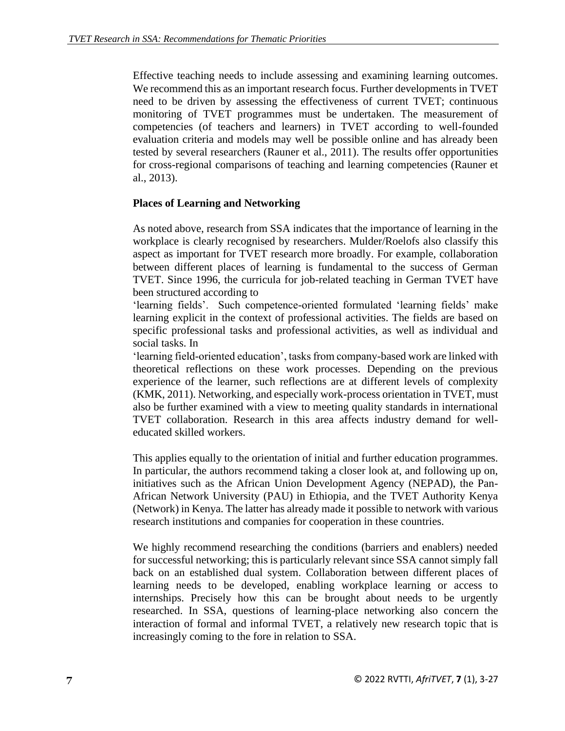Effective teaching needs to include assessing and examining learning outcomes. We recommend this as an important research focus. Further developments in TVET need to be driven by assessing the effectiveness of current TVET; continuous monitoring of TVET programmes must be undertaken. The measurement of competencies (of teachers and learners) in TVET according to well-founded evaluation criteria and models may well be possible online and has already been tested by several researchers (Rauner et al., 2011). The results offer opportunities for cross-regional comparisons of teaching and learning competencies (Rauner et al., 2013).

### **Places of Learning and Networking**

As noted above, research from SSA indicates that the importance of learning in the workplace is clearly recognised by researchers. Mulder/Roelofs also classify this aspect as important for TVET research more broadly. For example, collaboration between different places of learning is fundamental to the success of German TVET. Since 1996, the curricula for job-related teaching in German TVET have been structured according to

'learning fields'. Such competence-oriented formulated 'learning fields' make learning explicit in the context of professional activities. The fields are based on specific professional tasks and professional activities, as well as individual and social tasks. In

'learning field-oriented education', tasks from company-based work are linked with theoretical reflections on these work processes. Depending on the previous experience of the learner, such reflections are at different levels of complexity (KMK, 2011). Networking, and especially work-process orientation in TVET, must also be further examined with a view to meeting quality standards in international TVET collaboration. Research in this area affects industry demand for welleducated skilled workers.

This applies equally to the orientation of initial and further education programmes. In particular, the authors recommend taking a closer look at, and following up on, initiatives such as the African Union Development Agency (NEPAD), the Pan-African Network University (PAU) in Ethiopia, and the TVET Authority Kenya (Network) in Kenya. The latter has already made it possible to network with various research institutions and companies for cooperation in these countries.

We highly recommend researching the conditions (barriers and enablers) needed for successful networking; this is particularly relevant since SSA cannot simply fall back on an established dual system. Collaboration between different places of learning needs to be developed, enabling workplace learning or access to internships. Precisely how this can be brought about needs to be urgently researched. In SSA, questions of learning-place networking also concern the interaction of formal and informal TVET, a relatively new research topic that is increasingly coming to the fore in relation to SSA.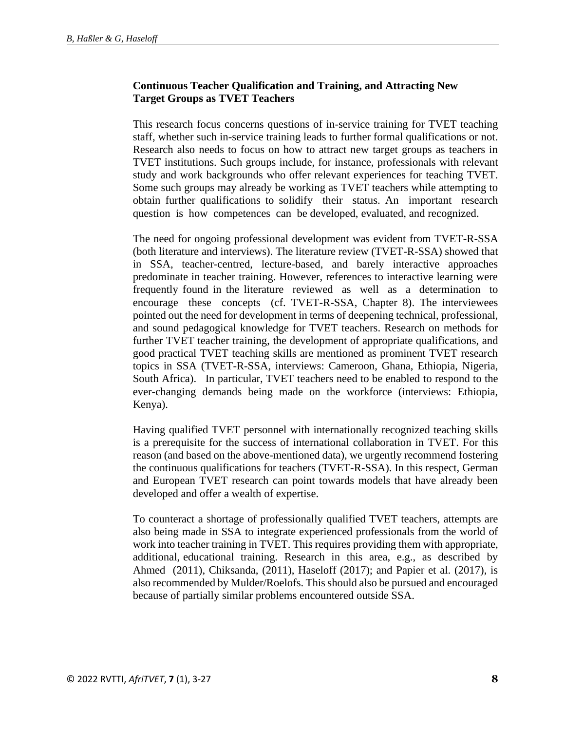### **Continuous Teacher Qualification and Training, and Attracting New Target Groups as TVET Teachers**

This research focus concerns questions of in-service training for TVET teaching staff, whether such in-service training leads to further formal qualifications or not. Research also needs to focus on how to attract new target groups as teachers in TVET institutions. Such groups include, for instance, professionals with relevant study and work backgrounds who offer relevant experiences for teaching TVET. Some such groups may already be working as TVET teachers while attempting to obtain further qualifications to solidify their status. An important research question is how competences can be developed, evaluated, and recognized.

The need for ongoing professional development was evident from TVET-R-SSA (both literature and interviews). The literature review (TVET-R-SSA) showed that in SSA, teacher-centred, lecture-based, and barely interactive approaches predominate in teacher training. However, references to interactive learning were frequently found in the literature reviewed as well as a determination to encourage these concepts (cf. TVET-R-SSA, Chapter 8). The interviewees pointed out the need for development in terms of deepening technical, professional, and sound pedagogical knowledge for TVET teachers. Research on methods for further TVET teacher training, the development of appropriate qualifications, and good practical TVET teaching skills are mentioned as prominent TVET research topics in SSA (TVET-R-SSA, interviews: Cameroon, Ghana, Ethiopia, Nigeria, South Africa). In particular, TVET teachers need to be enabled to respond to the ever-changing demands being made on the workforce (interviews: Ethiopia, Kenya).

Having qualified TVET personnel with internationally recognized teaching skills is a prerequisite for the success of international collaboration in TVET. For this reason (and based on the above-mentioned data), we urgently recommend fostering the continuous qualifications for teachers (TVET-R-SSA). In this respect, German and European TVET research can point towards models that have already been developed and offer a wealth of expertise.

To counteract a shortage of professionally qualified TVET teachers, attempts are also being made in SSA to integrate experienced professionals from the world of work into teacher training in TVET. This requires providing them with appropriate, additional, educational training. Research in this area, e.g., as described by Ahmed (2011), Chiksanda, (2011), Haseloff (2017); and Papier et al. (2017), is also recommended by Mulder/Roelofs. This should also be pursued and encouraged because of partially similar problems encountered outside SSA.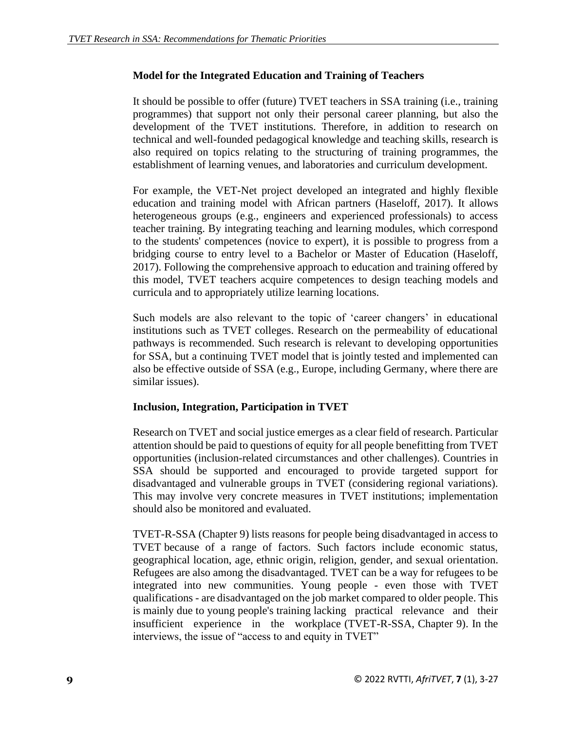### **Model for the Integrated Education and Training of Teachers**

It should be possible to offer (future) TVET teachers in SSA training (i.e., training programmes) that support not only their personal career planning, but also the development of the TVET institutions. Therefore, in addition to research on technical and well-founded pedagogical knowledge and teaching skills, research is also required on topics relating to the structuring of training programmes, the establishment of learning venues, and laboratories and curriculum development.

For example, the VET-Net project developed an integrated and highly flexible education and training model with African partners (Haseloff, 2017). It allows heterogeneous groups (e.g., engineers and experienced professionals) to access teacher training. By integrating teaching and learning modules, which correspond to the students' competences (novice to expert), it is possible to progress from a bridging course to entry level to a Bachelor or Master of Education (Haseloff, 2017). Following the comprehensive approach to education and training offered by this model, TVET teachers acquire competences to design teaching models and curricula and to appropriately utilize learning locations.

Such models are also relevant to the topic of 'career changers' in educational institutions such as TVET colleges. Research on the permeability of educational pathways is recommended. Such research is relevant to developing opportunities for SSA, but a continuing TVET model that is jointly tested and implemented can also be effective outside of SSA (e.g., Europe, including Germany, where there are similar issues).

### **Inclusion, Integration, Participation in TVET**

Research on TVET and social justice emerges as a clear field of research. Particular attention should be paid to questions of equity for all people benefitting from TVET opportunities (inclusion-related circumstances and other challenges). Countries in SSA should be supported and encouraged to provide targeted support for disadvantaged and vulnerable groups in TVET (considering regional variations). This may involve very concrete measures in TVET institutions; implementation should also be monitored and evaluated.

TVET-R-SSA (Chapter 9) lists reasons for people being disadvantaged in access to TVET because of a range of factors. Such factors include economic status, geographical location, age, ethnic origin, religion, gender, and sexual orientation. Refugees are also among the disadvantaged. TVET can be a way for refugees to be integrated into new communities. Young people - even those with TVET qualifications - are disadvantaged on the job market compared to older people. This is mainly due to young people's training lacking practical relevance and their insufficient experience in the workplace (TVET-R-SSA, Chapter 9). In the interviews, the issue of "access to and equity in TVET"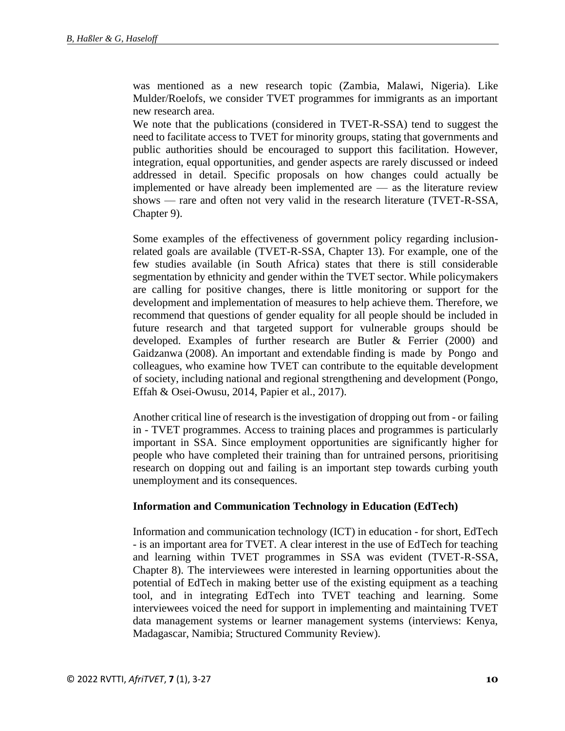was mentioned as a new research topic (Zambia, Malawi, Nigeria). Like Mulder/Roelofs, we consider TVET programmes for immigrants as an important new research area.

We note that the publications (considered in TVET-R-SSA) tend to suggest the need to facilitate access to TVET for minority groups, stating that governments and public authorities should be encouraged to support this facilitation. However, integration, equal opportunities, and gender aspects are rarely discussed or indeed addressed in detail. Specific proposals on how changes could actually be implemented or have already been implemented are — as the literature review shows — rare and often not very valid in the research literature (TVET-R-SSA, Chapter 9).

Some examples of the effectiveness of government policy regarding inclusionrelated goals are available (TVET-R-SSA, Chapter 13). For example, one of the few studies available (in South Africa) states that there is still considerable segmentation by ethnicity and gender within the TVET sector. While policymakers are calling for positive changes, there is little monitoring or support for the development and implementation of measures to help achieve them. Therefore, we recommend that questions of gender equality for all people should be included in future research and that targeted support for vulnerable groups should be developed. Examples of further research are Butler & Ferrier (2000) and Gaidzanwa (2008). An important and extendable finding is made by Pongo and colleagues, who examine how TVET can contribute to the equitable development of society, including national and regional strengthening and development (Pongo, Effah & Osei-Owusu, 2014, Papier et al., 2017).

Another critical line of research is the investigation of dropping out from - or failing in - TVET programmes. Access to training places and programmes is particularly important in SSA. Since employment opportunities are significantly higher for people who have completed their training than for untrained persons, prioritising research on dopping out and failing is an important step towards curbing youth unemployment and its consequences.

#### **Information and Communication Technology in Education (EdTech)**

Information and communication technology (ICT) in education - for short, EdTech - is an important area for TVET. A clear interest in the use of EdTech for teaching and learning within TVET programmes in SSA was evident (TVET-R-SSA, Chapter 8). The interviewees were interested in learning opportunities about the potential of EdTech in making better use of the existing equipment as a teaching tool, and in integrating EdTech into TVET teaching and learning. Some interviewees voiced the need for support in implementing and maintaining TVET data management systems or learner management systems (interviews: Kenya, Madagascar, Namibia; Structured Community Review).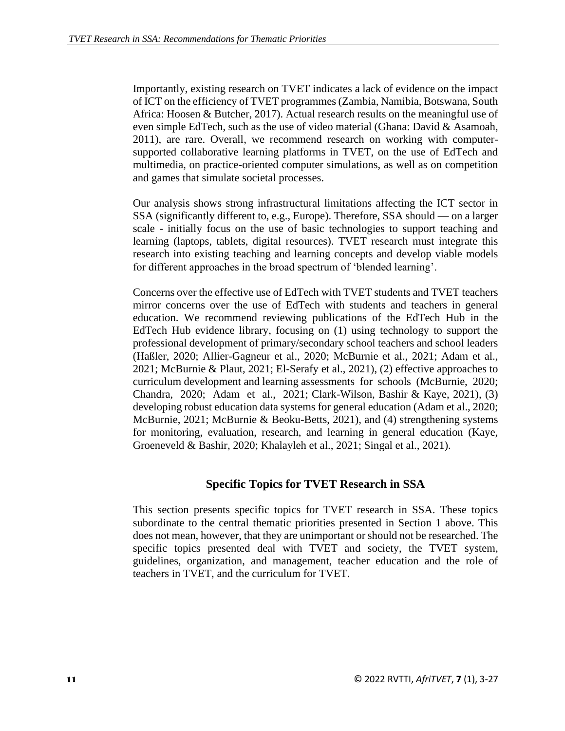Importantly, existing research on TVET indicates a lack of evidence on the impact of ICT on the efficiency of TVET programmes (Zambia, Namibia, Botswana, South Africa: Hoosen & Butcher, 2017). Actual research results on the meaningful use of even simple EdTech, such as the use of video material (Ghana: David & Asamoah, 2011), are rare. Overall, we recommend research on working with computersupported collaborative learning platforms in TVET, on the use of EdTech and multimedia, on practice-oriented computer simulations, as well as on competition and games that simulate societal processes.

Our analysis shows strong infrastructural limitations affecting the ICT sector in SSA (significantly different to, e.g., Europe). Therefore, SSA should — on a larger scale - initially focus on the use of basic technologies to support teaching and learning (laptops, tablets, digital resources). TVET research must integrate this research into existing teaching and learning concepts and develop viable models for different approaches in the broad spectrum of 'blended learning'.

Concerns over the effective use of EdTech with TVET students and TVET teachers mirror concerns over the use of EdTech with students and teachers in general education. We recommend reviewing publications of the EdTech Hub in the EdTech Hub evidence library, focusing on (1) using technology to support the professional development of primary/secondary school teachers and school leaders (Haßler, 2020; Allier-Gagneur et al., 2020; McBurnie et al., 2021; Adam et al., 2021; McBurnie & Plaut, 2021; El-Serafy et al., 2021), (2) effective approaches to curriculum development and learning assessments for schools (McBurnie, 2020; Chandra, 2020; Adam et al., 2021; Clark-Wilson, Bashir & Kaye, 2021), (3) developing robust education data systems for general education (Adam et al., 2020; McBurnie, 2021; McBurnie & Beoku-Betts, 2021), and (4) strengthening systems for monitoring, evaluation, research, and learning in general education (Kaye, Groeneveld & Bashir, 2020; Khalayleh et al., 2021; Singal et al., 2021).

# **Specific Topics for TVET Research in SSA**

This section presents specific topics for TVET research in SSA. These topics subordinate to the central thematic priorities presented in Section 1 above. This does not mean, however, that they are unimportant or should not be researched. The specific topics presented deal with TVET and society, the TVET system, guidelines, organization, and management, teacher education and the role of teachers in TVET, and the curriculum for TVET.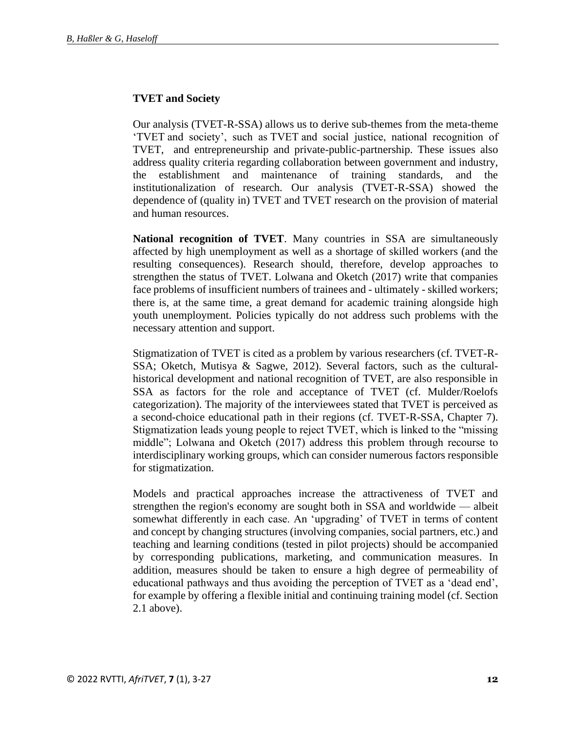### **TVET and Society**

Our analysis (TVET-R-SSA) allows us to derive sub-themes from the meta-theme 'TVET and society', such as TVET and social justice, national recognition of TVET, and entrepreneurship and private-public-partnership. These issues also address quality criteria regarding collaboration between government and industry, the establishment and maintenance of training standards, and the institutionalization of research. Our analysis (TVET-R-SSA) showed the dependence of (quality in) TVET and TVET research on the provision of material and human resources.

**National recognition of TVET**. Many countries in SSA are simultaneously affected by high unemployment as well as a shortage of skilled workers (and the resulting consequences). Research should, therefore, develop approaches to strengthen the status of TVET. Lolwana and Oketch (2017) write that companies face problems of insufficient numbers of trainees and - ultimately - skilled workers; there is, at the same time, a great demand for academic training alongside high youth unemployment. Policies typically do not address such problems with the necessary attention and support.

Stigmatization of TVET is cited as a problem by various researchers (cf. TVET-R-SSA; Oketch, Mutisya & Sagwe, 2012). Several factors, such as the culturalhistorical development and national recognition of TVET, are also responsible in SSA as factors for the role and acceptance of TVET (cf. Mulder/Roelofs categorization). The majority of the interviewees stated that TVET is perceived as a second-choice educational path in their regions (cf. TVET-R-SSA, Chapter 7). Stigmatization leads young people to reject TVET, which is linked to the "missing middle"; Lolwana and Oketch (2017) address this problem through recourse to interdisciplinary working groups, which can consider numerous factors responsible for stigmatization.

Models and practical approaches increase the attractiveness of TVET and strengthen the region's economy are sought both in SSA and worldwide — albeit somewhat differently in each case. An 'upgrading' of TVET in terms of content and concept by changing structures (involving companies, social partners, etc.) and teaching and learning conditions (tested in pilot projects) should be accompanied by corresponding publications, marketing, and communication measures. In addition, measures should be taken to ensure a high degree of permeability of educational pathways and thus avoiding the perception of TVET as a 'dead end', for example by offering a flexible initial and continuing training model (cf. Section 2.1 above).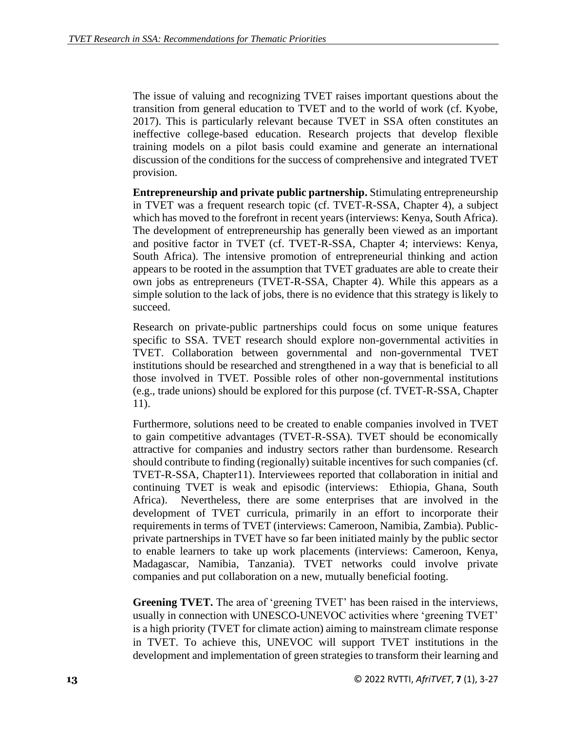The issue of valuing and recognizing TVET raises important questions about the transition from general education to TVET and to the world of work (cf. Kyobe, 2017). This is particularly relevant because TVET in SSA often constitutes an ineffective college-based education. Research projects that develop flexible training models on a pilot basis could examine and generate an international discussion of the conditions for the success of comprehensive and integrated TVET provision.

**Entrepreneurship and private public partnership.** Stimulating entrepreneurship in TVET was a frequent research topic (cf. TVET-R-SSA, Chapter 4), a subject which has moved to the forefront in recent years (interviews: Kenya, South Africa). The development of entrepreneurship has generally been viewed as an important and positive factor in TVET (cf. TVET-R-SSA, Chapter 4; interviews: Kenya, South Africa). The intensive promotion of entrepreneurial thinking and action appears to be rooted in the assumption that TVET graduates are able to create their own jobs as entrepreneurs (TVET-R-SSA, Chapter 4). While this appears as a simple solution to the lack of jobs, there is no evidence that this strategy is likely to succeed.

Research on private-public partnerships could focus on some unique features specific to SSA. TVET research should explore non-governmental activities in TVET. Collaboration between governmental and non-governmental TVET institutions should be researched and strengthened in a way that is beneficial to all those involved in TVET. Possible roles of other non-governmental institutions (e.g., trade unions) should be explored for this purpose (cf. TVET-R-SSA, Chapter 11).

Furthermore, solutions need to be created to enable companies involved in TVET to gain competitive advantages (TVET-R-SSA). TVET should be economically attractive for companies and industry sectors rather than burdensome. Research should contribute to finding (regionally) suitable incentives for such companies (cf. TVET-R-SSA, Chapter11). Interviewees reported that collaboration in initial and continuing TVET is weak and episodic (interviews: Ethiopia, Ghana, South Africa). Nevertheless, there are some enterprises that are involved in the development of TVET curricula, primarily in an effort to incorporate their requirements in terms of TVET (interviews: Cameroon, Namibia, Zambia). Publicprivate partnerships in TVET have so far been initiated mainly by the public sector to enable learners to take up work placements (interviews: Cameroon, Kenya, Madagascar, Namibia, Tanzania). TVET networks could involve private companies and put collaboration on a new, mutually beneficial footing.

**Greening TVET.** The area of 'greening TVET' has been raised in the interviews, usually in connection with UNESCO-UNEVOC activities where 'greening TVET' is a high priority (TVET for climate action) aiming to mainstream climate response in TVET. To achieve this, UNEVOC will support TVET institutions in the development and implementation of green strategies to transform their learning and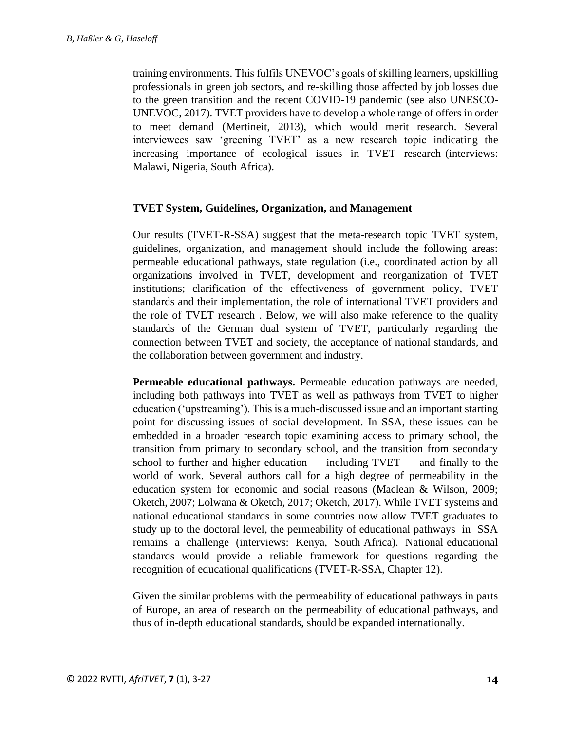training environments. This fulfils UNEVOC's goals of skilling learners, upskilling professionals in green job sectors, and re-skilling those affected by job losses due to the green transition and the recent COVID-19 pandemic (see also UNESCO-UNEVOC, 2017). TVET providers have to develop a whole range of offers in order to meet demand (Mertineit, 2013), which would merit research. Several interviewees saw 'greening TVET' as a new research topic indicating the increasing importance of ecological issues in TVET research (interviews: Malawi, Nigeria, South Africa).

### **TVET System, Guidelines, Organization, and Management**

Our results (TVET-R-SSA) suggest that the meta-research topic TVET system, guidelines, organization, and management should include the following areas: permeable educational pathways, state regulation (i.e., coordinated action by all organizations involved in TVET, development and reorganization of TVET institutions; clarification of the effectiveness of government policy, TVET standards and their implementation, the role of international TVET providers and the role of TVET research . Below, we will also make reference to the quality standards of the German dual system of TVET, particularly regarding the connection between TVET and society, the acceptance of national standards, and the collaboration between government and industry.

**Permeable educational pathways.** Permeable education pathways are needed, including both pathways into TVET as well as pathways from TVET to higher education ('upstreaming'). This is a much-discussed issue and an important starting point for discussing issues of social development. In SSA, these issues can be embedded in a broader research topic examining access to primary school, the transition from primary to secondary school, and the transition from secondary school to further and higher education — including TVET — and finally to the world of work. Several authors call for a high degree of permeability in the education system for economic and social reasons (Maclean & Wilson, 2009; Oketch, 2007; Lolwana & Oketch, 2017; Oketch, 2017). While TVET systems and national educational standards in some countries now allow TVET graduates to study up to the doctoral level, the permeability of educational pathways in SSA remains a challenge (interviews: Kenya, South Africa). National educational standards would provide a reliable framework for questions regarding the recognition of educational qualifications (TVET-R-SSA, Chapter 12).

Given the similar problems with the permeability of educational pathways in parts of Europe, an area of research on the permeability of educational pathways, and thus of in-depth educational standards, should be expanded internationally.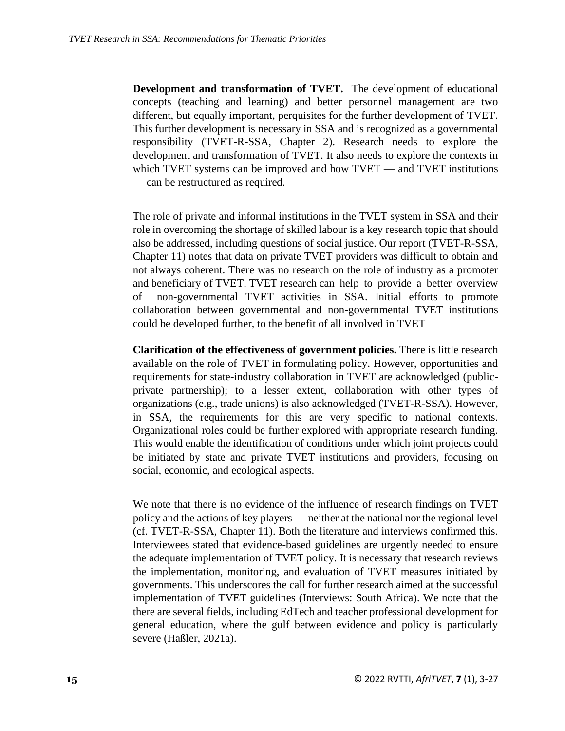**Development and transformation of TVET.** The development of educational concepts (teaching and learning) and better personnel management are two different, but equally important, perquisites for the further development of TVET. This further development is necessary in SSA and is recognized as a governmental responsibility (TVET-R-SSA, Chapter 2). Research needs to explore the development and transformation of TVET. It also needs to explore the contexts in which TVET systems can be improved and how TVET — and TVET institutions — can be restructured as required.

The role of private and informal institutions in the TVET system in SSA and their role in overcoming the shortage of skilled labour is a key research topic that should also be addressed, including questions of social justice. Our report (TVET-R-SSA, Chapter 11) notes that data on private TVET providers was difficult to obtain and not always coherent. There was no research on the role of industry as a promoter and beneficiary of TVET. TVET research can help to provide a better overview of non-governmental TVET activities in SSA. Initial efforts to promote collaboration between governmental and non-governmental TVET institutions could be developed further, to the benefit of all involved in TVET

**Clarification of the effectiveness of government policies.** There is little research available on the role of TVET in formulating policy. However, opportunities and requirements for state-industry collaboration in TVET are acknowledged (publicprivate partnership); to a lesser extent, collaboration with other types of organizations (e.g., trade unions) is also acknowledged (TVET-R-SSA). However, in SSA, the requirements for this are very specific to national contexts. Organizational roles could be further explored with appropriate research funding. This would enable the identification of conditions under which joint projects could be initiated by state and private TVET institutions and providers, focusing on social, economic, and ecological aspects.

We note that there is no evidence of the influence of research findings on TVET policy and the actions of key players — neither at the national nor the regional level (cf. TVET-R-SSA, Chapter 11). Both the literature and interviews confirmed this. Interviewees stated that evidence-based guidelines are urgently needed to ensure the adequate implementation of TVET policy. It is necessary that research reviews the implementation, monitoring, and evaluation of TVET measures initiated by governments. This underscores the call for further research aimed at the successful implementation of TVET guidelines (Interviews: South Africa). We note that the there are several fields, including EdTech and teacher professional development for general education, where the gulf between evidence and policy is particularly severe (Haßler, 2021a).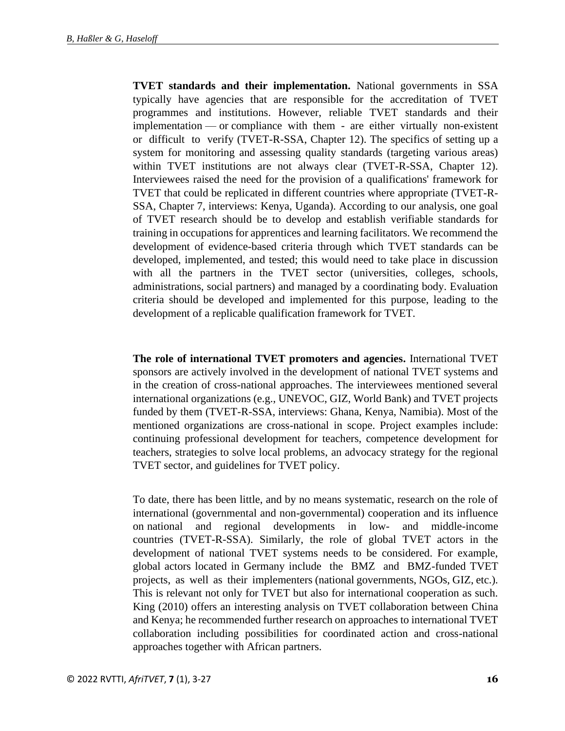**TVET standards and their implementation.** National governments in SSA typically have agencies that are responsible for the accreditation of TVET programmes and institutions. However, reliable TVET standards and their implementation — or compliance with them - are either virtually non-existent or difficult to verify (TVET-R-SSA, Chapter 12). The specifics of setting up a system for monitoring and assessing quality standards (targeting various areas) within TVET institutions are not always clear (TVET-R-SSA, Chapter 12). Interviewees raised the need for the provision of a qualifications' framework for TVET that could be replicated in different countries where appropriate (TVET-R-SSA, Chapter 7, interviews: Kenya, Uganda). According to our analysis, one goal of TVET research should be to develop and establish verifiable standards for training in occupations for apprentices and learning facilitators. We recommend the development of evidence-based criteria through which TVET standards can be developed, implemented, and tested; this would need to take place in discussion with all the partners in the TVET sector (universities, colleges, schools, administrations, social partners) and managed by a coordinating body. Evaluation criteria should be developed and implemented for this purpose, leading to the development of a replicable qualification framework for TVET.

**The role of international TVET promoters and agencies.** International TVET sponsors are actively involved in the development of national TVET systems and in the creation of cross-national approaches. The interviewees mentioned several international organizations (e.g., UNEVOC, GIZ, World Bank) and TVET projects funded by them (TVET-R-SSA, interviews: Ghana, Kenya, Namibia). Most of the mentioned organizations are cross-national in scope. Project examples include: continuing professional development for teachers, competence development for teachers, strategies to solve local problems, an advocacy strategy for the regional TVET sector, and guidelines for TVET policy.

To date, there has been little, and by no means systematic, research on the role of international (governmental and non-governmental) cooperation and its influence on national and regional developments in low- and middle-income countries (TVET-R-SSA). Similarly, the role of global TVET actors in the development of national TVET systems needs to be considered. For example, global actors located in Germany include the BMZ and BMZ-funded TVET projects, as well as their implementers (national governments, NGOs, GIZ, etc.). This is relevant not only for TVET but also for international cooperation as such. King (2010) offers an interesting analysis on TVET collaboration between China and Kenya; he recommended further research on approaches to international TVET collaboration including possibilities for coordinated action and cross-national approaches together with African partners.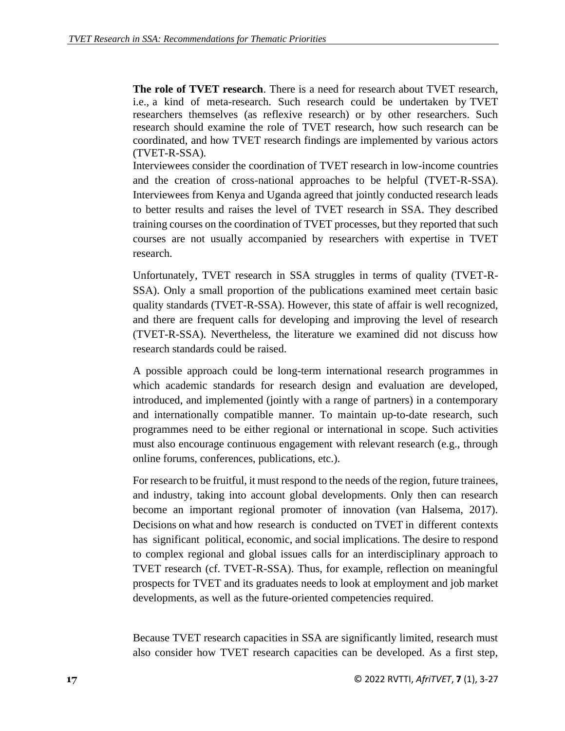**The role of TVET research**. There is a need for research about TVET research, i.e., a kind of meta-research. Such research could be undertaken by TVET researchers themselves (as reflexive research) or by other researchers. Such research should examine the role of TVET research, how such research can be coordinated, and how TVET research findings are implemented by various actors (TVET-R-SSA).

Interviewees consider the coordination of TVET research in low-income countries and the creation of cross-national approaches to be helpful (TVET-R-SSA). Interviewees from Kenya and Uganda agreed that jointly conducted research leads to better results and raises the level of TVET research in SSA. They described training courses on the coordination of TVET processes, but they reported that such courses are not usually accompanied by researchers with expertise in TVET research.

Unfortunately, TVET research in SSA struggles in terms of quality (TVET-R-SSA). Only a small proportion of the publications examined meet certain basic quality standards (TVET-R-SSA). However, this state of affair is well recognized, and there are frequent calls for developing and improving the level of research (TVET-R-SSA). Nevertheless, the literature we examined did not discuss how research standards could be raised.

A possible approach could be long-term international research programmes in which academic standards for research design and evaluation are developed, introduced, and implemented (jointly with a range of partners) in a contemporary and internationally compatible manner. To maintain up-to-date research, such programmes need to be either regional or international in scope. Such activities must also encourage continuous engagement with relevant research (e.g., through online forums, conferences, publications, etc.).

For research to be fruitful, it must respond to the needs of the region, future trainees, and industry, taking into account global developments. Only then can research become an important regional promoter of innovation (van Halsema, 2017). Decisions on what and how research is conducted on TVET in different contexts has significant political, economic, and social implications. The desire to respond to complex regional and global issues calls for an interdisciplinary approach to TVET research (cf. TVET-R-SSA). Thus, for example, reflection on meaningful prospects for TVET and its graduates needs to look at employment and job market developments, as well as the future-oriented competencies required.

Because TVET research capacities in SSA are significantly limited, research must also consider how TVET research capacities can be developed. As a first step,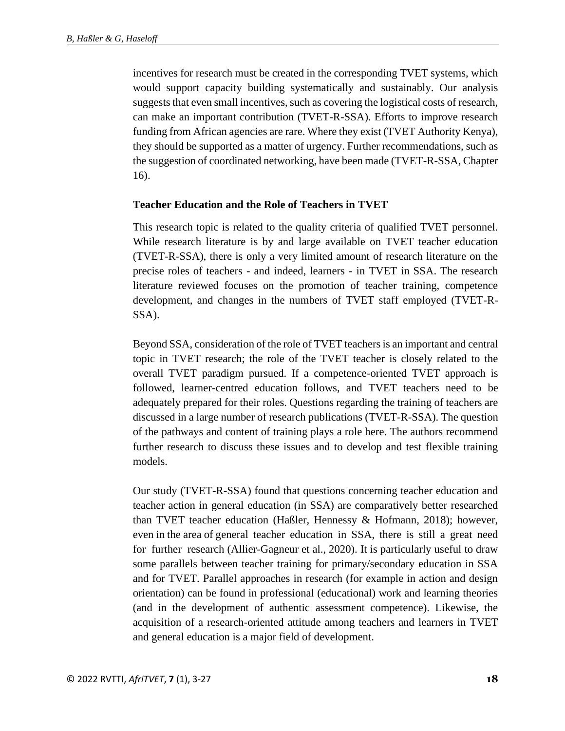incentives for research must be created in the corresponding TVET systems, which would support capacity building systematically and sustainably. Our analysis suggests that even small incentives, such as covering the logistical costs of research, can make an important contribution (TVET-R-SSA). Efforts to improve research funding from African agencies are rare. Where they exist (TVET Authority Kenya), they should be supported as a matter of urgency. Further recommendations, such as the suggestion of coordinated networking, have been made (TVET-R-SSA, Chapter 16).

#### **Teacher Education and the Role of Teachers in TVET**

This research topic is related to the quality criteria of qualified TVET personnel. While research literature is by and large available on TVET teacher education (TVET-R-SSA), there is only a very limited amount of research literature on the precise roles of teachers - and indeed, learners - in TVET in SSA. The research literature reviewed focuses on the promotion of teacher training, competence development, and changes in the numbers of TVET staff employed (TVET-R-SSA).

Beyond SSA, consideration of the role of TVET teachers is an important and central topic in TVET research; the role of the TVET teacher is closely related to the overall TVET paradigm pursued. If a competence-oriented TVET approach is followed, learner-centred education follows, and TVET teachers need to be adequately prepared for their roles. Questions regarding the training of teachers are discussed in a large number of research publications (TVET-R-SSA). The question of the pathways and content of training plays a role here. The authors recommend further research to discuss these issues and to develop and test flexible training models.

Our study (TVET-R-SSA) found that questions concerning teacher education and teacher action in general education (in SSA) are comparatively better researched than TVET teacher education (Haßler, Hennessy & Hofmann, 2018); however, even in the area of general teacher education in SSA, there is still a great need for further research (Allier-Gagneur et al., 2020). It is particularly useful to draw some parallels between teacher training for primary/secondary education in SSA and for TVET. Parallel approaches in research (for example in action and design orientation) can be found in professional (educational) work and learning theories (and in the development of authentic assessment competence). Likewise, the acquisition of a research-oriented attitude among teachers and learners in TVET and general education is a major field of development.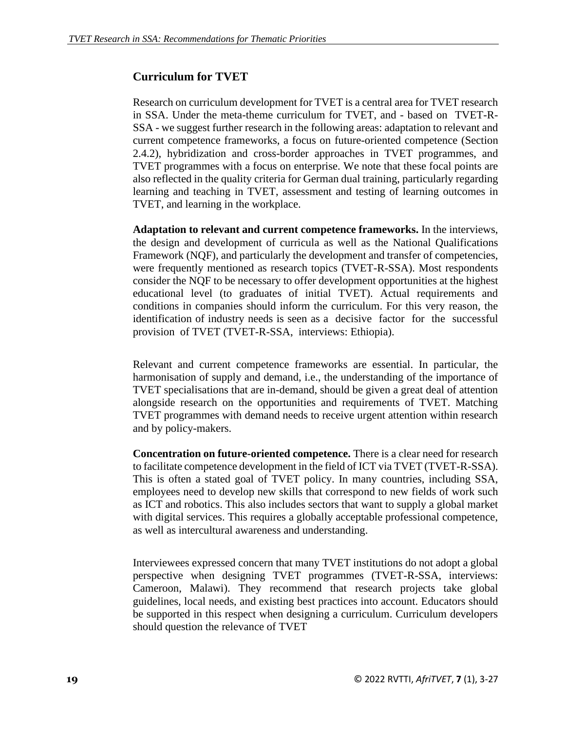# **Curriculum for TVET**

Research on curriculum development for TVET is a central area for TVET research in SSA. Under the meta-theme curriculum for TVET, and - based on TVET-R-SSA - we suggest further research in the following areas: adaptation to relevant and current competence frameworks, a focus on future-oriented competence (Section 2.4.2), hybridization and cross-border approaches in TVET programmes, and TVET programmes with a focus on enterprise. We note that these focal points are also reflected in the quality criteria for German dual training, particularly regarding learning and teaching in TVET, assessment and testing of learning outcomes in TVET, and learning in the workplace.

**Adaptation to relevant and current competence frameworks.** In the interviews, the design and development of curricula as well as the National Qualifications Framework (NQF), and particularly the development and transfer of competencies, were frequently mentioned as research topics (TVET-R-SSA). Most respondents consider the NQF to be necessary to offer development opportunities at the highest educational level (to graduates of initial TVET). Actual requirements and conditions in companies should inform the curriculum. For this very reason, the identification of industry needs is seen as a decisive factor for the successful provision of TVET (TVET-R-SSA, interviews: Ethiopia).

Relevant and current competence frameworks are essential. In particular, the harmonisation of supply and demand, i.e., the understanding of the importance of TVET specialisations that are in-demand, should be given a great deal of attention alongside research on the opportunities and requirements of TVET. Matching TVET programmes with demand needs to receive urgent attention within research and by policy-makers.

**Concentration on future-oriented competence.** There is a clear need for research to facilitate competence development in the field of ICT via TVET (TVET-R-SSA). This is often a stated goal of TVET policy. In many countries, including SSA, employees need to develop new skills that correspond to new fields of work such as ICT and robotics. This also includes sectors that want to supply a global market with digital services. This requires a globally acceptable professional competence, as well as intercultural awareness and understanding.

Interviewees expressed concern that many TVET institutions do not adopt a global perspective when designing TVET programmes (TVET-R-SSA, interviews: Cameroon, Malawi). They recommend that research projects take global guidelines, local needs, and existing best practices into account. Educators should be supported in this respect when designing a curriculum. Curriculum developers should question the relevance of TVET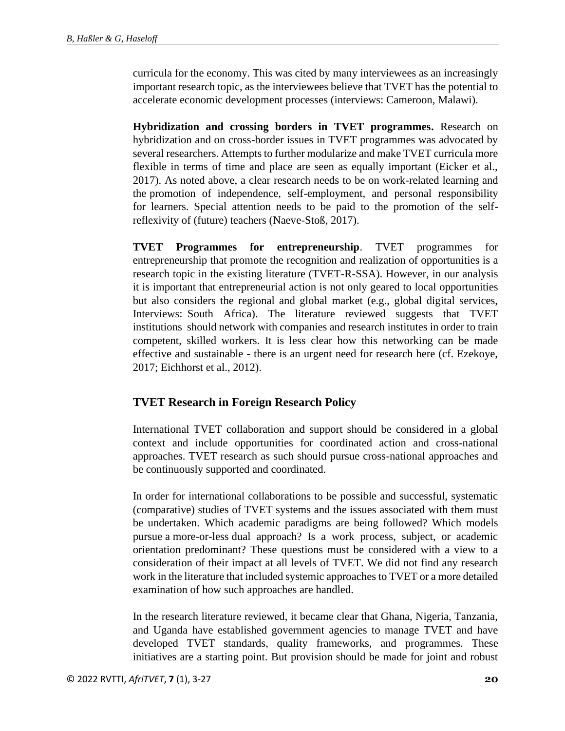curricula for the economy. This was cited by many interviewees as an increasingly important research topic, as the interviewees believe that TVET has the potential to accelerate economic development processes (interviews: Cameroon, Malawi).

**Hybridization and crossing borders in TVET programmes.** Research on hybridization and on cross-border issues in TVET programmes was advocated by several researchers. Attempts to further modularize and make TVET curricula more flexible in terms of time and place are seen as equally important (Eicker et al., 2017). As noted above, a clear research needs to be on work-related learning and the promotion of independence, self-employment, and personal responsibility for learners. Special attention needs to be paid to the promotion of the selfreflexivity of (future) teachers (Naeve-Stoß, 2017).

**TVET Programmes for entrepreneurship**. TVET programmes for entrepreneurship that promote the recognition and realization of opportunities is a research topic in the existing literature (TVET-R-SSA). However, in our analysis it is important that entrepreneurial action is not only geared to local opportunities but also considers the regional and global market (e.g., global digital services, Interviews: South Africa). The literature reviewed suggests that TVET institutions should network with companies and research institutes in order to train competent, skilled workers. It is less clear how this networking can be made effective and sustainable - there is an urgent need for research here (cf. Ezekoye, 2017; Eichhorst et al., 2012).

# **TVET Research in Foreign Research Policy**

International TVET collaboration and support should be considered in a global context and include opportunities for coordinated action and cross-national approaches. TVET research as such should pursue cross-national approaches and be continuously supported and coordinated.

In order for international collaborations to be possible and successful, systematic (comparative) studies of TVET systems and the issues associated with them must be undertaken. Which academic paradigms are being followed? Which models pursue a more-or-less dual approach? Is a work process, subject, or academic orientation predominant? These questions must be considered with a view to a consideration of their impact at all levels of TVET. We did not find any research work in the literature that included systemic approaches to TVET or a more detailed examination of how such approaches are handled.

In the research literature reviewed, it became clear that Ghana, Nigeria, Tanzania, and Uganda have established government agencies to manage TVET and have developed TVET standards, quality frameworks, and programmes. These initiatives are a starting point. But provision should be made for joint and robust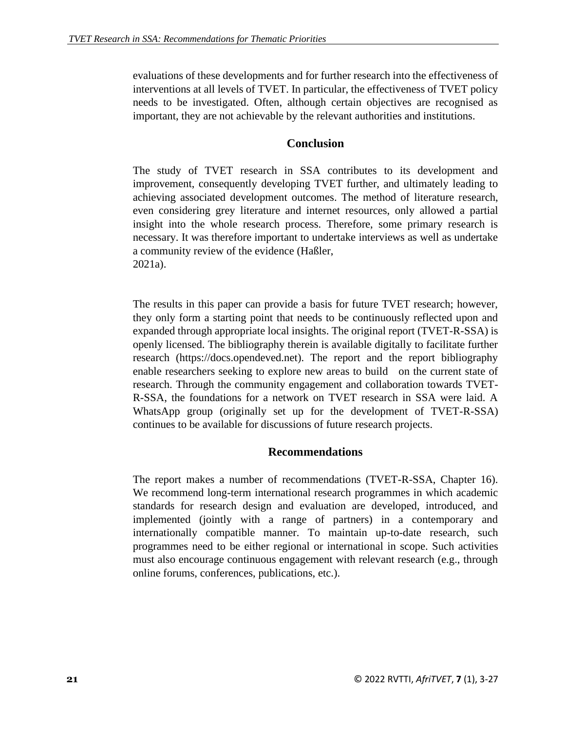evaluations of these developments and for further research into the effectiveness of interventions at all levels of TVET. In particular, the effectiveness of TVET policy needs to be investigated. Often, although certain objectives are recognised as important, they are not achievable by the relevant authorities and institutions.

## **Conclusion**

The study of TVET research in SSA contributes to its development and improvement, consequently developing TVET further, and ultimately leading to achieving associated development outcomes. The method of literature research, even considering grey literature and internet resources, only allowed a partial insight into the whole research process. Therefore, some primary research is necessary. It was therefore important to undertake interviews as well as undertake a community review of the evidence (Haßler, 2021a).

The results in this paper can provide a basis for future TVET research; however, they only form a starting point that needs to be continuously reflected upon and expanded through appropriate local insights. The original report (TVET-R-SSA) is openly licensed. The bibliography therein is available digitally to facilitate further research (https://docs.opendeved.net). The report and the report bibliography enable researchers seeking to explore new areas to build on the current state of research. Through the community engagement and collaboration towards TVET-R-SSA, the foundations for a network on TVET research in SSA were laid. A WhatsApp group (originally set up for the development of TVET-R-SSA) continues to be available for discussions of future research projects.

### **Recommendations**

The report makes a number of recommendations (TVET-R-SSA, Chapter 16). We recommend long-term international research programmes in which academic standards for research design and evaluation are developed, introduced, and implemented (jointly with a range of partners) in a contemporary and internationally compatible manner. To maintain up-to-date research, such programmes need to be either regional or international in scope. Such activities must also encourage continuous engagement with relevant research (e.g., through online forums, conferences, publications, etc.).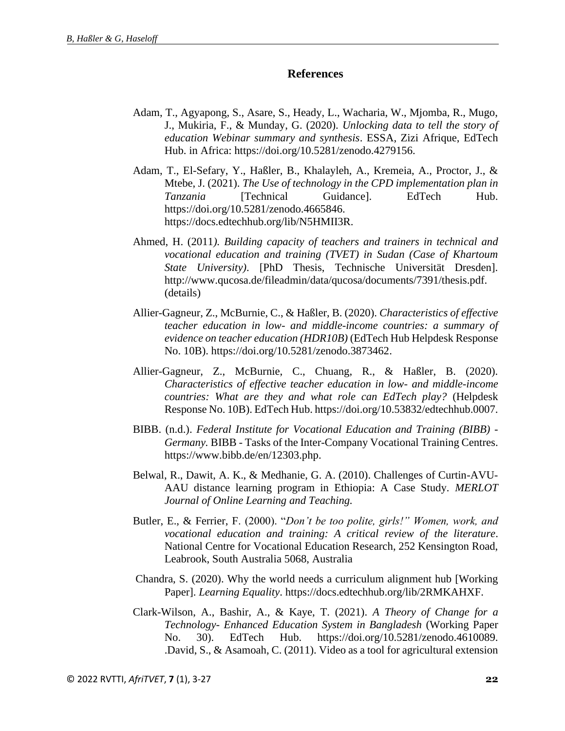#### **References**

- Adam, T., Agyapong, S., Asare, S., Heady, L., Wacharia, W., Mjomba, R., Mugo, J., Mukiria, F., & Munday, G. (2020). *Unlocking data to tell the story of education Webinar summary and synthesis*. ESSA, Zizi Afrique, EdTech Hub. in Africa: https://doi.org/10.5281/zenodo.4279156.
- Adam, T., El-Sefary, Y., Haßler, B., Khalayleh, A., Kremeia, A., Proctor, J., & Mtebe, J. (2021). *The Use of technology in the CPD implementation plan in Tanzania* [Technical Guidance]. EdTech Hub. https://doi.org/10.5281/zenodo.4665846. https://docs.edtechhub.org/lib/N5HMII3R.
- Ahmed, H. (2011*). Building capacity of teachers and trainers in technical and vocational education and training (TVET) in Sudan (Case of Khartoum State University)*. [PhD Thesis, Technische Universität Dresden]. http://www.qucosa.de/fileadmin/data/qucosa/documents/7391/thesis.pdf. (details)
- Allier-Gagneur, Z., McBurnie, C., & Haßler, B. (2020). *Characteristics of effective teacher education in low- and middle-income countries: a summary of evidence on teacher education (HDR10B)* (EdTech Hub Helpdesk Response No. 10B). https://doi.org/10.5281/zenodo.3873462.
- Allier-Gagneur, Z., McBurnie, C., Chuang, R., & Haßler, B. (2020). *Characteristics of effective teacher education in low- and middle-income countries: What are they and what role can EdTech play?* (Helpdesk Response No. 10B). EdTech Hub. https://doi.org/10.53832/edtechhub.0007.
- BIBB. (n.d.). *Federal Institute for Vocational Education and Training (BIBB) - Germany.* BIBB - Tasks of the Inter-Company Vocational Training Centres. https://www.bibb.de/en/12303.php.
- Belwal, R., Dawit, A. K., & Medhanie, G. A. (2010). Challenges of Curtin-AVU-AAU distance learning program in Ethiopia: A Case Study*. MERLOT Journal of Online Learning and Teaching.*
- Butler, E., & Ferrier, F. (2000). "*Don't be too polite, girls!" Women, work, and vocational education and training: A critical review of the literature*. National Centre for Vocational Education Research, 252 Kensington Road, Leabrook, South Australia 5068, Australia
- Chandra, S. (2020). Why the world needs a curriculum alignment hub [Working Paper]. *Learning Equality*. https://docs.edtechhub.org/lib/2RMKAHXF.
- Clark-Wilson, A., Bashir, A., & Kaye, T. (2021). *A Theory of Change for a Technology- Enhanced Education System in Bangladesh* (Working Paper No. 30). EdTech Hub. https://doi.org/10.5281/zenodo.4610089. .David, S., & Asamoah, C. (2011). Video as a tool for agricultural extension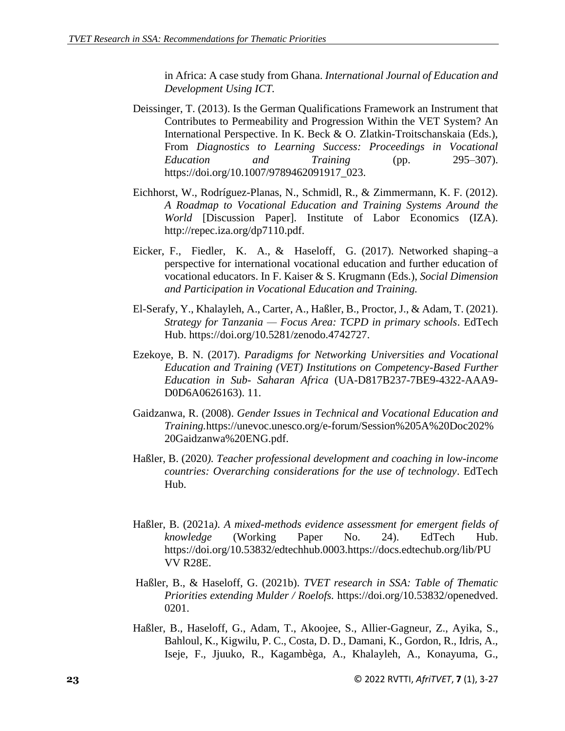in Africa: A case study from Ghana. *International Journal of Education and Development Using ICT.*

- Deissinger, T. (2013). Is the German Qualifications Framework an Instrument that Contributes to Permeability and Progression Within the VET System? An International Perspective. In K. Beck & O. Zlatkin-Troitschanskaia (Eds.), From *Diagnostics to Learning Success: Proceedings in Vocational Education and Training* (pp. 295–307). https://doi.org/10.1007/9789462091917\_023.
- Eichhorst, W., Rodríguez-Planas, N., Schmidl, R., & Zimmermann, K. F. (2012). *A Roadmap to Vocational Education and Training Systems Around the World* [Discussion Paper]. Institute of Labor Economics (IZA). http://repec.iza.org/dp7110.pdf.
- Eicker, F., Fiedler, K. A., & Haseloff, G. (2017). Networked shaping–a perspective for international vocational education and further education of vocational educators. In F. Kaiser & S. Krugmann (Eds.), *Social Dimension and Participation in Vocational Education and Training.*
- El-Serafy, Y., Khalayleh, A., Carter, A., Haßler, B., Proctor, J., & Adam, T. (2021). *Strategy for Tanzania — Focus Area: TCPD in primary schools*. EdTech Hub. https://doi.org/10.5281/zenodo.4742727.
- Ezekoye, B. N. (2017). *Paradigms for Networking Universities and Vocational Education and Training (VET) Institutions on Competency-Based Further Education in Sub- Saharan Africa* (UA-D817B237-7BE9-4322-AAA9- D0D6A0626163). 11.
- Gaidzanwa, R. (2008). *Gender Issues in Technical and Vocational Education and Training.*https://unevoc.unesco.org/e-forum/Session%205A%20Doc202% 20Gaidzanwa%20ENG.pdf.
- Haßler, B. (2020*). Teacher professional development and coaching in low-income countries: Overarching considerations for the use of technology*. EdTech Hub.
- Haßler, B. (2021a*). A mixed-methods evidence assessment for emergent fields of knowledge* (Working Paper No. 24). EdTech Hub. https://doi.org/10.53832/edtechhub.0003.https://docs.edtechub.org/lib/PU VV R28E.
- Haßler, B., & Haseloff, G. (2021b). *TVET research in SSA: Table of Thematic Priorities extending Mulder / Roelofs.* https://doi.org/10.53832/openedved. 0201.
- Haßler, B., Haseloff, G., Adam, T., Akoojee, S., Allier-Gagneur, Z., Ayika, S., Bahloul, K., Kigwilu, P. C., Costa, D. D., Damani, K., Gordon, R., Idris, A., Iseje, F., Jjuuko, R., Kagambèga, A., Khalayleh, A., Konayuma, G.,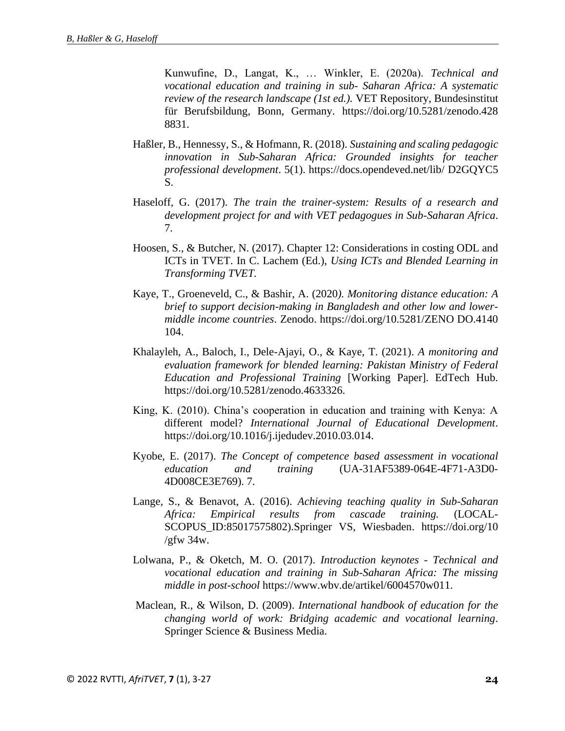Kunwufine, D., Langat, K., … Winkler, E. (2020a). *Technical and vocational education and training in sub- Saharan Africa: A systematic review of the research landscape (1st ed.).* VET Repository, Bundesinstitut für Berufsbildung, Bonn, Germany. https://doi.org/10.5281/zenodo.428 8831.

- Haßler, B., Hennessy, S., & Hofmann, R. (2018). *Sustaining and scaling pedagogic innovation in Sub-Saharan Africa: Grounded insights for teacher professional development*. 5(1). https://docs.opendeved.net/lib/ D2GQYC5 S.
- Haseloff, G. (2017). *The train the trainer-system: Results of a research and development project for and with VET pedagogues in Sub-Saharan Africa*. 7.
- Hoosen, S., & Butcher, N. (2017). Chapter 12: Considerations in costing ODL and ICTs in TVET. In C. Lachem (Ed.), *Using ICTs and Blended Learning in Transforming TVET.*
- Kaye, T., Groeneveld, C., & Bashir, A. (2020*). Monitoring distance education: A brief to support decision-making in Bangladesh and other low and lowermiddle income countries*. Zenodo. https://doi.org/10.5281/ZENO DO.4140 104.
- Khalayleh, A., Baloch, I., Dele-Ajayi, O., & Kaye, T. (2021). *A monitoring and evaluation framework for blended learning: Pakistan Ministry of Federal Education and Professional Training* [Working Paper]. EdTech Hub. https://doi.org/10.5281/zenodo.4633326.
- King, K. (2010). China's cooperation in education and training with Kenya: A different model? *International Journal of Educational Development*. https://doi.org/10.1016/j.ijedudev.2010.03.014.
- Kyobe, E. (2017). *The Concept of competence based assessment in vocational education and training* (UA-31AF5389-064E-4F71-A3D0- 4D008CE3E769). 7.
- Lange, S., & Benavot, A. (2016). *Achieving teaching quality in Sub-Saharan Africa: Empirical results from cascade training.* (LOCAL-SCOPUS\_ID:85017575802).Springer VS, Wiesbaden. https://doi.org/10 /gfw  $34w$ .
- Lolwana, P., & Oketch, M. O. (2017). *Introduction keynotes - Technical and vocational education and training in Sub-Saharan Africa: The missing middle in post-school* https://www.wbv.de/artikel/6004570w011.
- Maclean, R., & Wilson, D. (2009). *International handbook of education for the changing world of work: Bridging academic and vocational learning*. Springer Science & Business Media.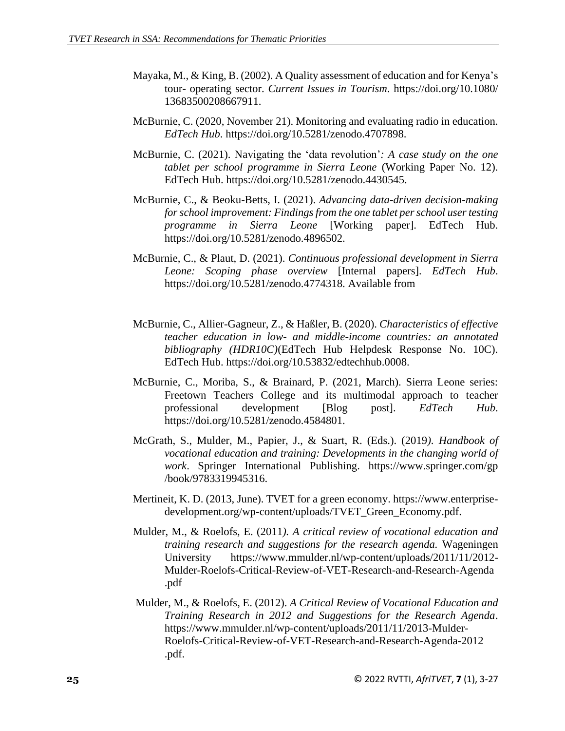- Mayaka, M., & King, B. (2002). A Quality assessment of education and for Kenya's tour- operating sector. *Current Issues in Tourism*. https://doi.org/10.1080/ 13683500208667911.
- McBurnie, C. (2020, November 21). Monitoring and evaluating radio in education. *EdTech Hub*. https://doi.org/10.5281/zenodo.4707898.
- McBurnie, C. (2021). Navigating the 'data revolution'*: A case study on the one tablet per school programme in Sierra Leone* (Working Paper No. 12). EdTech Hub. https://doi.org/10.5281/zenodo.4430545.
- McBurnie, C., & Beoku-Betts, I. (2021). *Advancing data-driven decision-making for school improvement: Findings from the one tablet per school user testing programme in Sierra Leone* [Working paper]. EdTech Hub. https://doi.org/10.5281/zenodo.4896502.
- McBurnie, C., & Plaut, D. (2021). *Continuous professional development in Sierra Leone: Scoping phase overview* [Internal papers]. *EdTech Hub*. https://doi.org/10.5281/zenodo.4774318. Available from
- McBurnie, C., Allier-Gagneur, Z., & Haßler, B. (2020). *Characteristics of effective teacher education in low- and middle-income countries: an annotated bibliography (HDR10C)*(EdTech Hub Helpdesk Response No. 10C). EdTech Hub. https://doi.org/10.53832/edtechhub.0008.
- McBurnie, C., Moriba, S., & Brainard, P. (2021, March). Sierra Leone series: Freetown Teachers College and its multimodal approach to teacher professional development [Blog post]. *EdTech Hub*. https://doi.org/10.5281/zenodo.4584801.
- McGrath, S., Mulder, M., Papier, J., & Suart, R. (Eds.). (2019*). Handbook of vocational education and training: Developments in the changing world of work*. Springer International Publishing. https://www.springer.com/gp /book/9783319945316.
- Mertineit, K. D. (2013, June). TVET for a green economy. https://www.enterprisedevelopment.org/wp-content/uploads/TVET\_Green\_Economy.pdf.
- Mulder, M., & Roelofs, E. (2011*). A critical review of vocational education and training research and suggestions for the research agenda.* Wageningen University https://www.mmulder.nl/wp-content/uploads/2011/11/2012- Mulder-Roelofs-Critical-Review-of-VET-Research-and-Research-Agenda .pdf
- Mulder, M., & Roelofs, E. (2012). *A Critical Review of Vocational Education and Training Research in 2012 and Suggestions for the Research Agenda*. https://www.mmulder.nl/wp-content/uploads/2011/11/2013-Mulder-Roelofs-Critical-Review-of-VET-Research-and-Research-Agenda-2012 .pdf.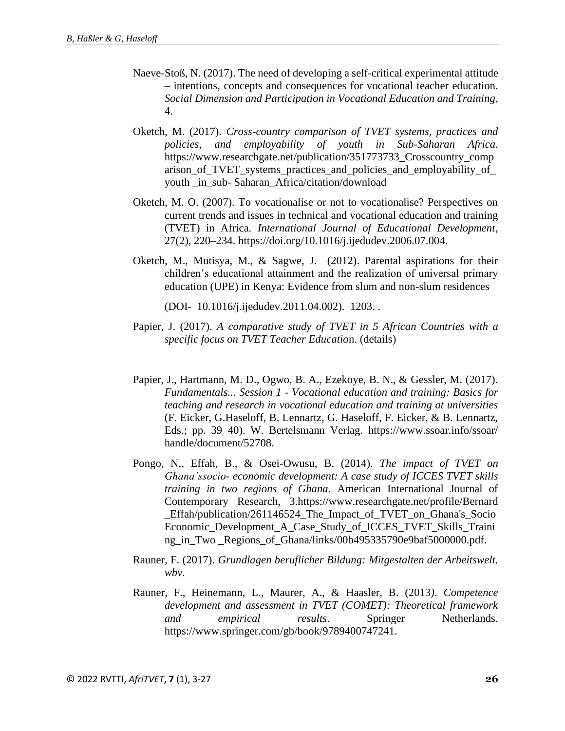- Naeve-Stoß, N. (2017). The need of developing a self-critical experimental attitude – intentions, concepts and consequences for vocational teacher education. *Social Dimension and Participation in Vocational Education and Training*, 4.
- Oketch, M. (2017). *Cross-country comparison of TVET systems, practices and policies, and employability of youth in Sub-Saharan Africa*. https://www.researchgate.net/publication/351773733\_Crosscountry\_comp arison\_of\_TVET\_systems\_practices\_and\_policies\_and\_employability\_of\_ youth in sub- Saharan Africa/citation/download
- Oketch, M. O. (2007). To vocationalise or not to vocationalise? Perspectives on current trends and issues in technical and vocational education and training (TVET) in Africa*. International Journal of Educational Development*, 27(2), 220–234. https://doi.org/10.1016/j.ijedudev.2006.07.004.
- Oketch, M., Mutisya, M., & Sagwe, J. (2012). Parental aspirations for their children's educational attainment and the realization of universal primary education (UPE) in Kenya: Evidence from slum and non-slum residences

(DOI- 10.1016/j.ijedudev.2011.04.002). 1203. .

- Papier, J. (2017). *A comparative study of TVET in 5 African Countries with a specific focus on TVET Teacher Educatio*n. (details)
- Papier, J., Hartmann, M. D., Ogwo, B. A., Ezekoye, B. N., & Gessler, M. (2017). *Fundamentals... Session 1 - Vocational education and training: Basics for teaching and research in vocational education and training at universities* (F. Eicker, G.Haseloff, B. Lennartz, G. Haseloff, F. Eicker, & B. Lennartz, Eds.; pp. 39–40). W. Bertelsmann Verlag. https://www.ssoar.info/ssoar/ handle/document/52708.
- Pongo, N., Effah, B., & Osei-Owusu, B. (2014). *The impact of TVET on Ghana'ssocio- economic development: A case study of ICCES TVET skills training in two regions of Ghana*. American International Journal of Contemporary Research, 3.https://www.researchgate.net/profile/Bernard \_Effah/publication/261146524\_The\_Impact\_of\_TVET\_on\_Ghana's\_Socio Economic\_Development\_A\_Case\_Study\_of\_ICCES\_TVET\_Skills\_Traini ng\_in\_Two \_Regions\_of\_Ghana/links/00b495335790e9baf5000000.pdf.
- Rauner, F. (2017). *Grundlagen beruflicher Bildung: Mitgestalten der Arbeitswelt. wbv.*
- Rauner, F., Heinemann, L., Maurer, A., & Haasler, B. (2013*). Competence development and assessment in TVET (COMET): Theoretical framework and empirical results*. Springer Netherlands. https://www.springer.com/gb/book/9789400747241.